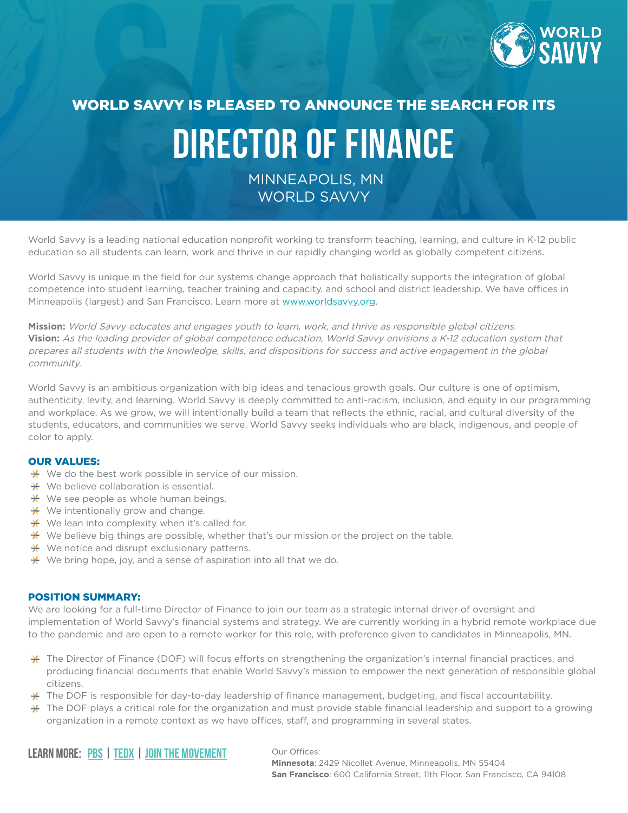

# WORLD SAVVY IS PLEASED TO ANNOUNCE THE SEARCH FOR ITS

# Director of Finance

 MINNEAPOLIS, MN WORLD SAVVY

World Savvy is a leading national education nonprofit working to transform teaching, learning, and culture in K-12 public education so all students can learn, work and thrive in our rapidly changing world as globally competent citizens.

World Savvy is unique in the field for our systems change approach that holistically supports the integration of global competence into student learning, teacher training and capacity, and school and district leadership. We have offices in Minneapolis (largest) and San Francisco. Learn more at [www.worldsavvy.org](http://www.worldsavvy.org).

**Mission:** World Savvy educates and engages youth to learn, work, and thrive as responsible global citizens. **Vision:** As the leading provider of global competence education, World Savvy envisions a K-12 education system that prepares all students with the knowledge, skills, and dispositions for success and active engagement in the global community.

World Savvy is an ambitious organization with big ideas and tenacious growth goals. Our culture is one of optimism, authenticity, levity, and learning. World Savvy is deeply committed to anti-racism, inclusion, and equity in our programming and workplace. As we grow, we will intentionally build a team that reflects the ethnic, racial, and cultural diversity of the students, educators, and communities we serve. World Savvy seeks individuals who are black, indigenous, and people of color to apply.

#### OUR VALUES:

- $\star$  We do the best work possible in service of our mission.
- $\star$  We believe collaboration is essential.
- $\star$  We see people as whole human beings.
- $\star$  We intentionally grow and change.
- $\star$  We lean into complexity when it's called for.
- $\star$  We believe big things are possible, whether that's our mission or the project on the table.
- $\star$  We notice and disrupt exclusionary patterns.
- $\star$  We bring hope, joy, and a sense of aspiration into all that we do.

#### POSITION SUMMARY:

We are looking for a full-time Director of Finance to join our team as a strategic internal driver of oversight and implementation of World Savvy's financial systems and strategy. We are currently working in a hybrid remote workplace due to the pandemic and are open to a remote worker for this role, with preference given to candidates in Minneapolis, MN.

- $\frac{1}{\sqrt{2}}$  The Director of Finance (DOF) will focus efforts on strengthening the organization's internal financial practices, and producing financial documents that enable World Savvy's mission to empower the next generation of responsible global citizens.
- $\star$  The DOF is responsible for day-to-day leadership of finance management, budgeting, and fiscal accountability.
- $\star$  The DOF plays a critical role for the organization and must provide stable financial leadership and support to a growing organization in a remote context as we have offices, staff, and programming in several states.

## LEARN MORE: [PBS](https://www.pbs.org/newshour/brief/250060/dana-mortenson) | TEDX | JOIN THE MOVEMENT Our Offices:

**Minnesota**: 2429 Nicollet Avenue, Minneapolis, MN 55404 **San Francisco**: 600 California Street, 11th Floor, San Francisco, CA 94108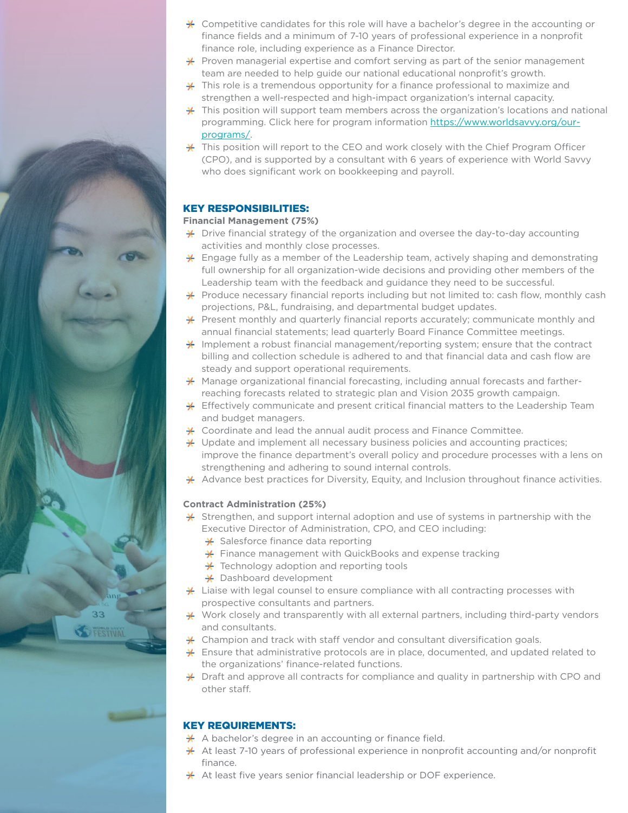- $\star$  Competitive candidates for this role will have a bachelor's degree in the accounting or finance fields and a minimum of 7-10 years of professional experience in a nonprofit finance role, including experience as a Finance Director.
- $\frac{1}{\sqrt{2}}$  Proven managerial expertise and comfort serving as part of the senior management team are needed to help guide our national educational nonprofit's growth.
- $\frac{1}{\sqrt{2}}$  This role is a tremendous opportunity for a finance professional to maximize and strengthen a well-respected and high-impact organization's internal capacity.
- $\frac{1}{\sqrt{2}}$  This position will support team members across the organization's locations and national programming. Click here for program information [https://www.worldsavvy.org/our](https://www.worldsavvy.org/our-programs/)[programs/.](https://www.worldsavvy.org/our-programs/)
- $\star$  This position will report to the CEO and work closely with the Chief Program Officer (CPO), and is supported by a consultant with 6 years of experience with World Savvy who does significant work on bookkeeping and payroll.

#### KEY RESPONSIBILITIES:

#### **Financial Management (75%)**

- $\frac{1}{\sqrt{2}}$  Drive financial strategy of the organization and oversee the day-to-day accounting activities and monthly close processes.
- $\frac{1}{\sqrt{2}}$  Engage fully as a member of the Leadership team, actively shaping and demonstrating full ownership for all organization-wide decisions and providing other members of the Leadership team with the feedback and guidance they need to be successful.
- $\star$  Produce necessary financial reports including but not limited to: cash flow, monthly cash projections, P&L, fundraising, and departmental budget updates.
- $\angle$  Present monthly and quarterly financial reports accurately; communicate monthly and annual financial statements; lead quarterly Board Finance Committee meetings.
- $\frac{1}{\sqrt{1-\frac{1}{\sqrt{1-\frac{1}{\sqrt{1-\frac{1}{\sqrt{1-\frac{1}{\sqrt{1-\frac{1}{\sqrt{1-\frac{1}{\sqrt{1-\frac{1}{\sqrt{1-\frac{1}{\sqrt{1-\frac{1}{\sqrt{1-\frac{1}{\sqrt{1-\frac{1}{\sqrt{1-\frac{1}{\sqrt{1-\frac{1}{\sqrt{1-\frac{1}{\sqrt{1-\frac{1}{\sqrt{1-\frac{1}{\sqrt{1-\frac{1}{\sqrt{1-\frac{1}{\sqrt{1-\frac{1}{\sqrt{1-\frac{1}{\sqrt{1-\frac{1}{\sqrt{1-\frac{1}{\sqrt{1-\frac{1}{\sqrt{1-\frac{1$ billing and collection schedule is adhered to and that financial data and cash flow are steady and support operational requirements.
- $\star$  Manage organizational financial forecasting, including annual forecasts and fartherreaching forecasts related to strategic plan and Vision 2035 growth campaign.
- Effectively communicate and present critical financial matters to the Leadership Team and budget managers.
- \* Coordinate and lead the annual audit process and Finance Committee.
- $\star$  Update and implement all necessary business policies and accounting practices; improve the finance department's overall policy and procedure processes with a lens on strengthening and adhering to sound internal controls.
- \* Advance best practices for Diversity, Equity, and Inclusion throughout finance activities.

#### **Contract Administration (25%)**

- $\frac{1}{\sqrt{2}}$  Strengthen, and support internal adoption and use of systems in partnership with the Executive Director of Administration, CPO, and CEO including:
	- \* Salesforce finance data reporting
	- $\frac{1}{\sqrt{1}}$  Finance management with QuickBooks and expense tracking
	- $\star$  Technology adoption and reporting tools
	- Dashboard development
- $\star$  Liaise with legal counsel to ensure compliance with all contracting processes with prospective consultants and partners.
- $\frac{1}{\sqrt{1}}$  Work closely and transparently with all external partners, including third-party vendors and consultants.
- $\star$  Champion and track with staff vendor and consultant diversification goals.
- \* Ensure that administrative protocols are in place, documented, and updated related to the organizations' finance-related functions.
- $\star$  Draft and approve all contracts for compliance and quality in partnership with CPO and other staff.

#### KEY REQUIREMENTS:

- $\star$  A bachelor's degree in an accounting or finance field.
- $\star$  At least 7-10 years of professional experience in nonprofit accounting and/or nonprofit finance.
- $\star$  At least five years senior financial leadership or DOF experience.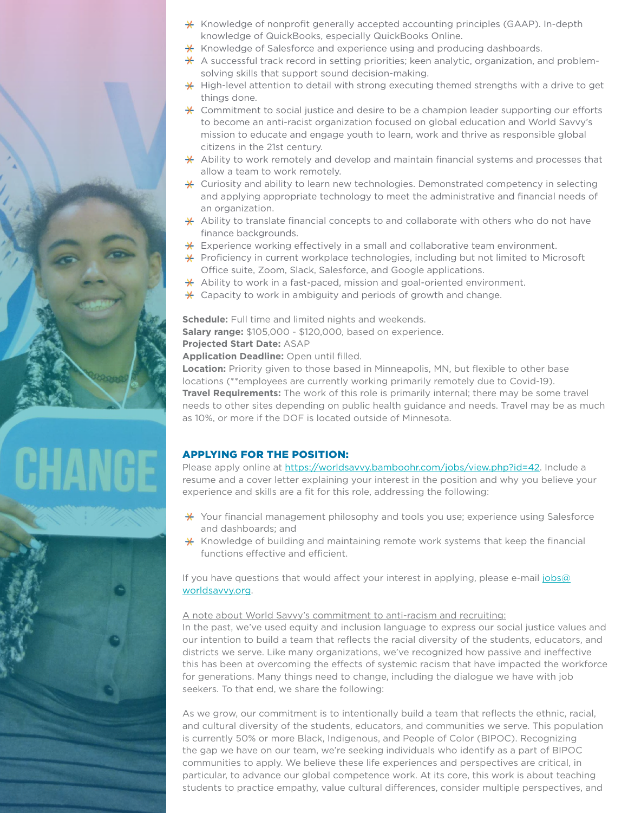





- $\star$  Knowledge of Salesforce and experience using and producing dashboards.
- $\star$  A successful track record in setting priorities; keen analytic, organization, and problemsolving skills that support sound decision-making.
- $\star$  High-level attention to detail with strong executing themed strengths with a drive to get things done.
- $\star$  Commitment to social justice and desire to be a champion leader supporting our efforts to become an anti-racist organization focused on global education and World Savvy's mission to educate and engage youth to learn, work and thrive as responsible global citizens in the 21st century.
- $\star$  Ability to work remotely and develop and maintain financial systems and processes that allow a team to work remotely.
- $\frac{1}{\sqrt{2}}$  Curiosity and ability to learn new technologies. Demonstrated competency in selecting and applying appropriate technology to meet the administrative and financial needs of an organization.
- $\star$  Ability to translate financial concepts to and collaborate with others who do not have finance backgrounds.
- $\frac{1}{\epsilon}$  Experience working effectively in a small and collaborative team environment.
- $\star$  Proficiency in current workplace technologies, including but not limited to Microsoft Office suite, Zoom, Slack, Salesforce, and Google applications.
- \* Ability to work in a fast-paced, mission and goal-oriented environment.
- $\angle$  **+ Capacity to work in ambiguity and periods of growth and change.**

**Schedule:** Full time and limited nights and weekends.

**Salary range:** \$105,000 - \$120,000, based on experience.

#### **Projected Start Date:** ASAP

**Application Deadline:** Open until filled.

**Location:** Priority given to those based in Minneapolis, MN, but flexible to other base locations (\*\*employees are currently working primarily remotely due to Covid-19). **Travel Requirements:** The work of this role is primarily internal; there may be some travel needs to other sites depending on public health guidance and needs. Travel may be as much as 10%, or more if the DOF is located outside of Minnesota.

### APPLYING FOR THE POSITION:

Please apply online at <https://worldsavvy.bamboohr.com/jobs/view.php?id=42>. Include a resume and a cover letter explaining your interest in the position and why you believe your experience and skills are a fit for this role, addressing the following:

- \* Your financial management philosophy and tools you use; experience using Salesforce and dashboards; and
- $\star$  Knowledge of building and maintaining remote work systems that keep the financial functions effective and efficient.

If you have questions that would affect your interest in applying, please e-mail [jobs@](mailto:jobs%40worldsavvy.org?subject=) [worldsavvy.org.](mailto:jobs%40worldsavvy.org?subject=)

#### A note about World Savvy's commitment to anti-racism and recruiting:

In the past, we've used equity and inclusion language to express our social justice values and our intention to build a team that reflects the racial diversity of the students, educators, and districts we serve. Like many organizations, we've recognized how passive and ineffective this has been at overcoming the effects of systemic racism that have impacted the workforce for generations. Many things need to change, including the dialogue we have with job seekers. To that end, we share the following:

As we grow, our commitment is to intentionally build a team that reflects the ethnic, racial, and cultural diversity of the students, educators, and communities we serve. This population is currently 50% or more Black, Indigenous, and People of Color (BIPOC). Recognizing the gap we have on our team, we're seeking individuals who identify as a part of BIPOC communities to apply. We believe these life experiences and perspectives are critical, in particular, to advance our global competence work. At its core, this work is about teaching students to practice empathy, value cultural differences, consider multiple perspectives, and